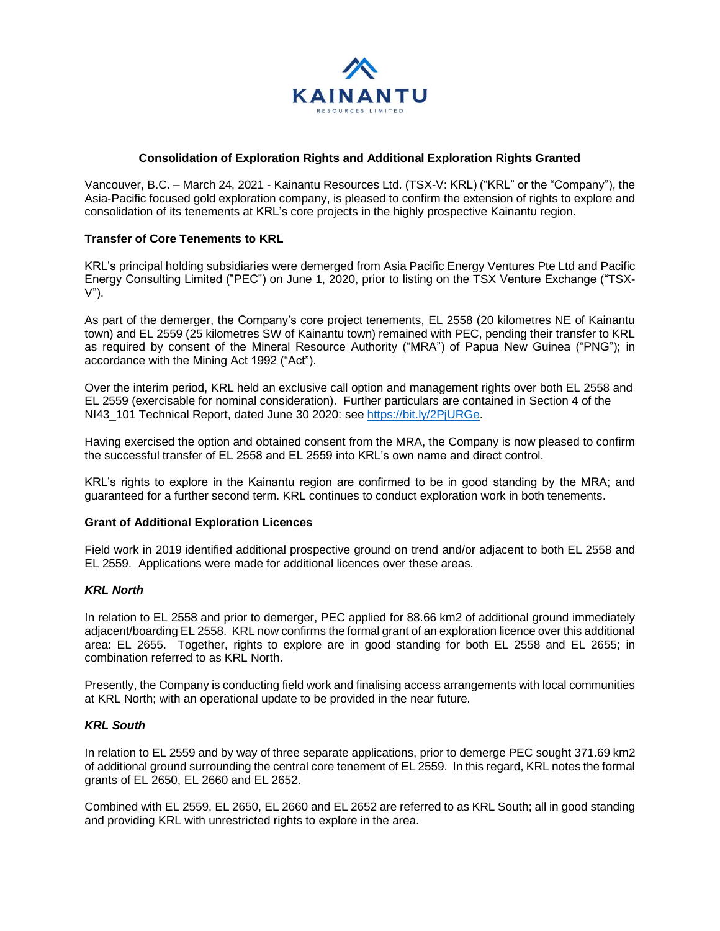

## **Consolidation of Exploration Rights and Additional Exploration Rights Granted**

Vancouver, B.C. – March 24, 2021 - Kainantu Resources Ltd. (TSX-V: KRL) ("KRL" or the "Company"), the Asia-Pacific focused gold exploration company, is pleased to confirm the extension of rights to explore and consolidation of its tenements at KRL's core projects in the highly prospective Kainantu region.

## **Transfer of Core Tenements to KRL**

KRL's principal holding subsidiaries were demerged from Asia Pacific Energy Ventures Pte Ltd and Pacific Energy Consulting Limited ("PEC") on June 1, 2020, prior to listing on the TSX Venture Exchange ("TSX-V").

As part of the demerger, the Company's core project tenements, EL 2558 (20 kilometres NE of Kainantu town) and EL 2559 (25 kilometres SW of Kainantu town) remained with PEC, pending their transfer to KRL as required by consent of the Mineral Resource Authority ("MRA") of Papua New Guinea ("PNG"); in accordance with the Mining Act 1992 ("Act").

Over the interim period, KRL held an exclusive call option and management rights over both EL 2558 and EL 2559 (exercisable for nominal consideration). Further particulars are contained in Section 4 of the NI43\_101 Technical Report, dated June 30 2020: see [https://bit.ly/2PjURGe.](https://bit.ly/2PjURGe)

Having exercised the option and obtained consent from the MRA, the Company is now pleased to confirm the successful transfer of EL 2558 and EL 2559 into KRL's own name and direct control.

KRL's rights to explore in the Kainantu region are confirmed to be in good standing by the MRA; and guaranteed for a further second term. KRL continues to conduct exploration work in both tenements.

## **Grant of Additional Exploration Licences**

Field work in 2019 identified additional prospective ground on trend and/or adjacent to both EL 2558 and EL 2559. Applications were made for additional licences over these areas.

## *KRL North*

In relation to EL 2558 and prior to demerger, PEC applied for 88.66 km2 of additional ground immediately adjacent/boarding EL 2558. KRL now confirms the formal grant of an exploration licence over this additional area: EL 2655. Together, rights to explore are in good standing for both EL 2558 and EL 2655; in combination referred to as KRL North.

Presently, the Company is conducting field work and finalising access arrangements with local communities at KRL North; with an operational update to be provided in the near future.

# *KRL South*

In relation to EL 2559 and by way of three separate applications, prior to demerge PEC sought 371.69 km2 of additional ground surrounding the central core tenement of EL 2559. In this regard, KRL notes the formal grants of EL 2650, EL 2660 and EL 2652.

Combined with EL 2559, EL 2650, EL 2660 and EL 2652 are referred to as KRL South; all in good standing and providing KRL with unrestricted rights to explore in the area.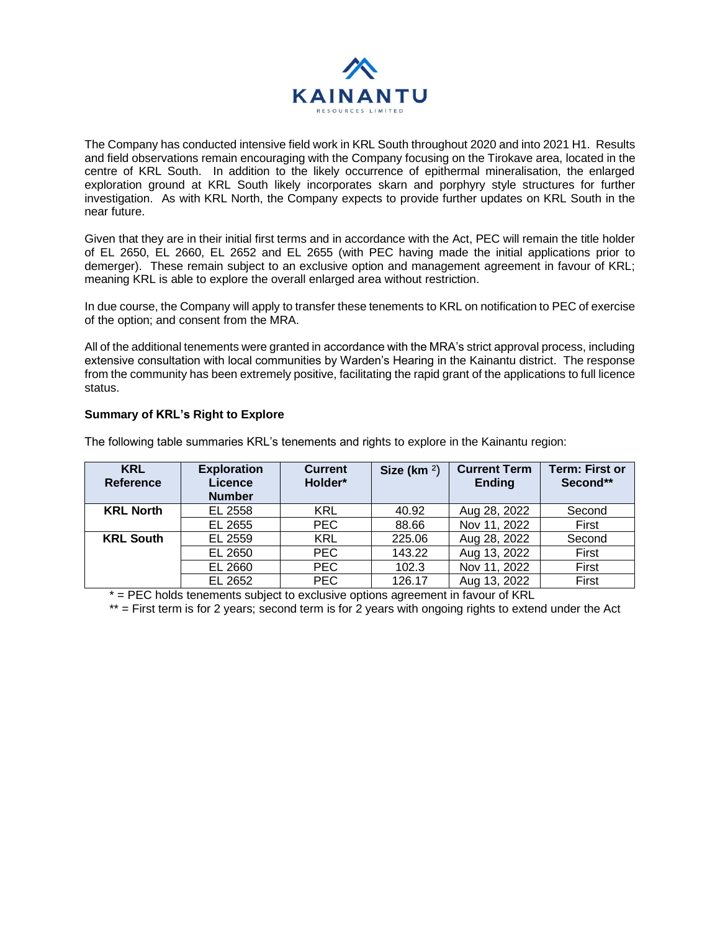

The Company has conducted intensive field work in KRL South throughout 2020 and into 2021 H1. Results and field observations remain encouraging with the Company focusing on the Tirokave area, located in the centre of KRL South. In addition to the likely occurrence of epithermal mineralisation, the enlarged exploration ground at KRL South likely incorporates skarn and porphyry style structures for further investigation. As with KRL North, the Company expects to provide further updates on KRL South in the near future.

Given that they are in their initial first terms and in accordance with the Act, PEC will remain the title holder of EL 2650, EL 2660, EL 2652 and EL 2655 (with PEC having made the initial applications prior to demerger). These remain subject to an exclusive option and management agreement in favour of KRL; meaning KRL is able to explore the overall enlarged area without restriction.

In due course, the Company will apply to transfer these tenements to KRL on notification to PEC of exercise of the option; and consent from the MRA.

All of the additional tenements were granted in accordance with the MRA's strict approval process, including extensive consultation with local communities by Warden's Hearing in the Kainantu district. The response from the community has been extremely positive, facilitating the rapid grant of the applications to full licence status.

# **Summary of KRL's Right to Explore**

**KRL Reference Exploration Licence Number Current Holder\* Size (km** ²) **Current Term Ending Term: First or Second\*\* KRL North** EL 2558 | KRL | 40.92 | Aug 28, 2022 | Second EL 2655 | PEC | 88.66 | Nov 11, 2022 | First

**KRL South** EL 2559 | KRL | 225.06 | Aug 28, 2022 | Second

The following table summaries KRL's tenements and rights to explore in the Kainantu region:

\* = PEC holds tenements subject to exclusive options agreement in favour of KRL

\*\* = First term is for 2 years; second term is for 2 years with ongoing rights to extend under the Act

EL 2650 | PEC | 143.22 | Aug 13, 2022 | First EL 2660 | PEC | 102.3 | Nov 11, 2022 | First EL 2652 **PEC** 126.17 Aug 13, 2022 First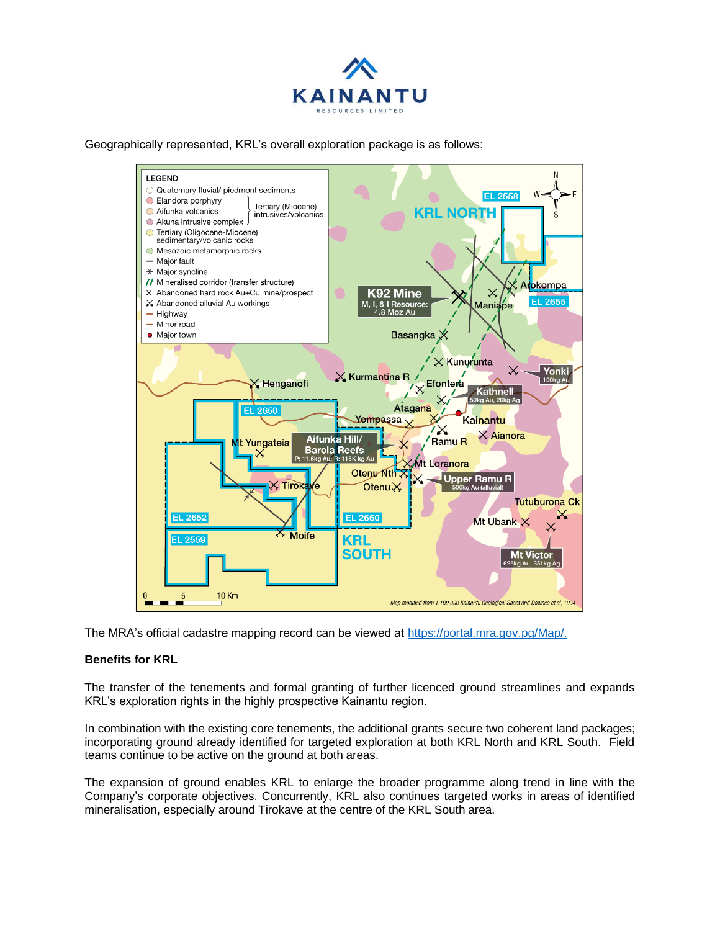

Geographically represented, KRL's overall exploration package is as follows:



The MRA's official cadastre mapping record can be viewed at [https://portal.mra.gov.pg/Map/.](https://portal.mra.gov.pg/Map/)

## **Benefits for KRL**

The transfer of the tenements and formal granting of further licenced ground streamlines and expands KRL's exploration rights in the highly prospective Kainantu region.

In combination with the existing core tenements, the additional grants secure two coherent land packages; incorporating ground already identified for targeted exploration at both KRL North and KRL South. Field teams continue to be active on the ground at both areas.

The expansion of ground enables KRL to enlarge the broader programme along trend in line with the Company's corporate objectives. Concurrently, KRL also continues targeted works in areas of identified mineralisation, especially around Tirokave at the centre of the KRL South area.